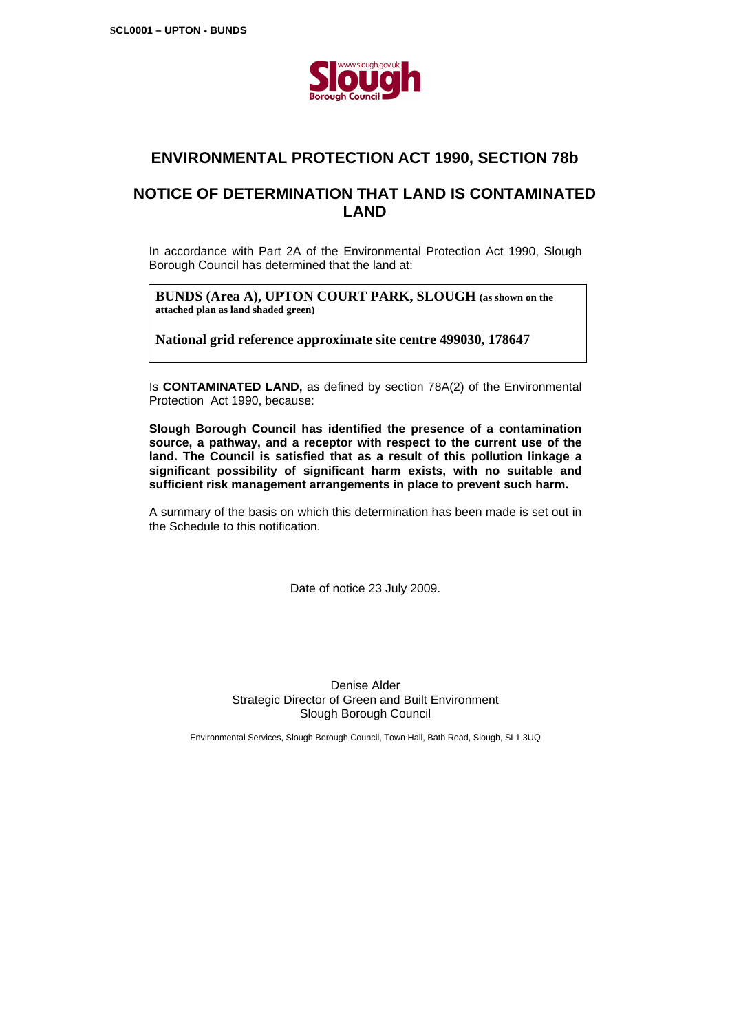

# **ENVIRONMENTAL PROTECTION ACT 1990, SECTION 78b**

# **NOTICE OF DETERMINATION THAT LAND IS CONTAMINATED LAND**

In accordance with Part 2A of the Environmental Protection Act 1990, Slough Borough Council has determined that the land at:

**BUNDS (Area A), UPTON COURT PARK, SLOUGH (as shown on the attached plan as land shaded green)** 

**National grid reference approximate site centre 499030, 178647** 

Is **CONTAMINATED LAND,** as defined by section 78A(2) of the Environmental Protection Act 1990, because:

**Slough Borough Council has identified the presence of a contamination source, a pathway, and a receptor with respect to the current use of the land. The Council is satisfied that as a result of this pollution linkage a significant possibility of significant harm exists, with no suitable and sufficient risk management arrangements in place to prevent such harm.** 

A summary of the basis on which this determination has been made is set out in the Schedule to this notification.

Date of notice 23 July 2009.

Denise Alder Strategic Director of Green and Built Environment Slough Borough Council

Environmental Services, Slough Borough Council, Town Hall, Bath Road, Slough, SL1 3UQ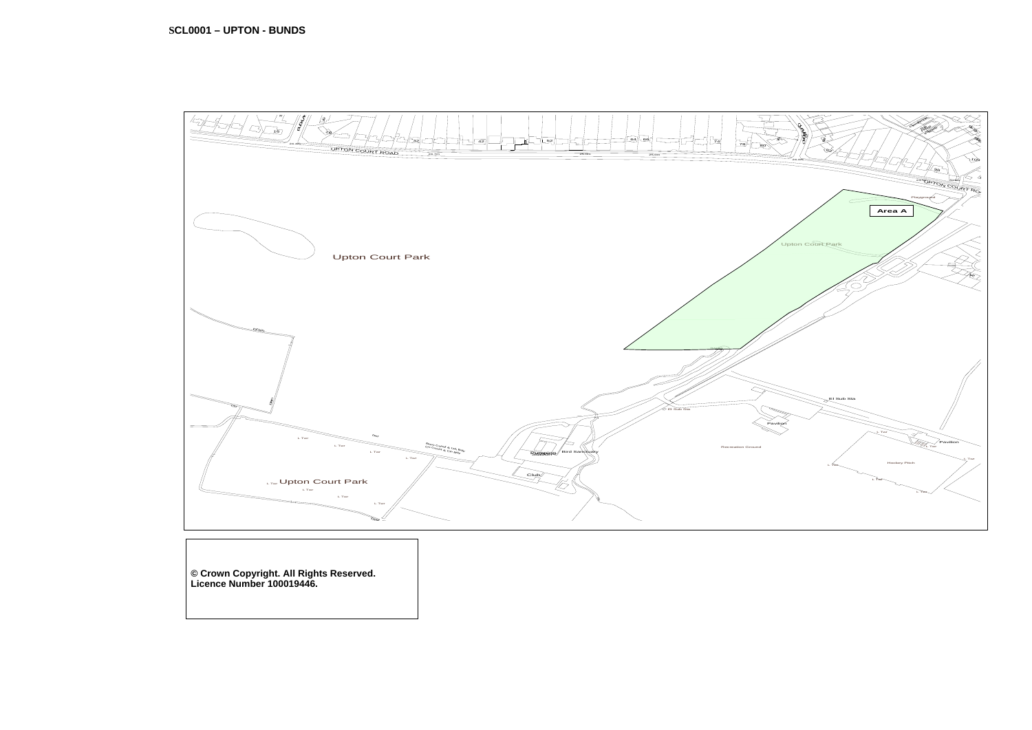**© Crown Copyright. All Rights Reserved. Licence Number 100019446.** 

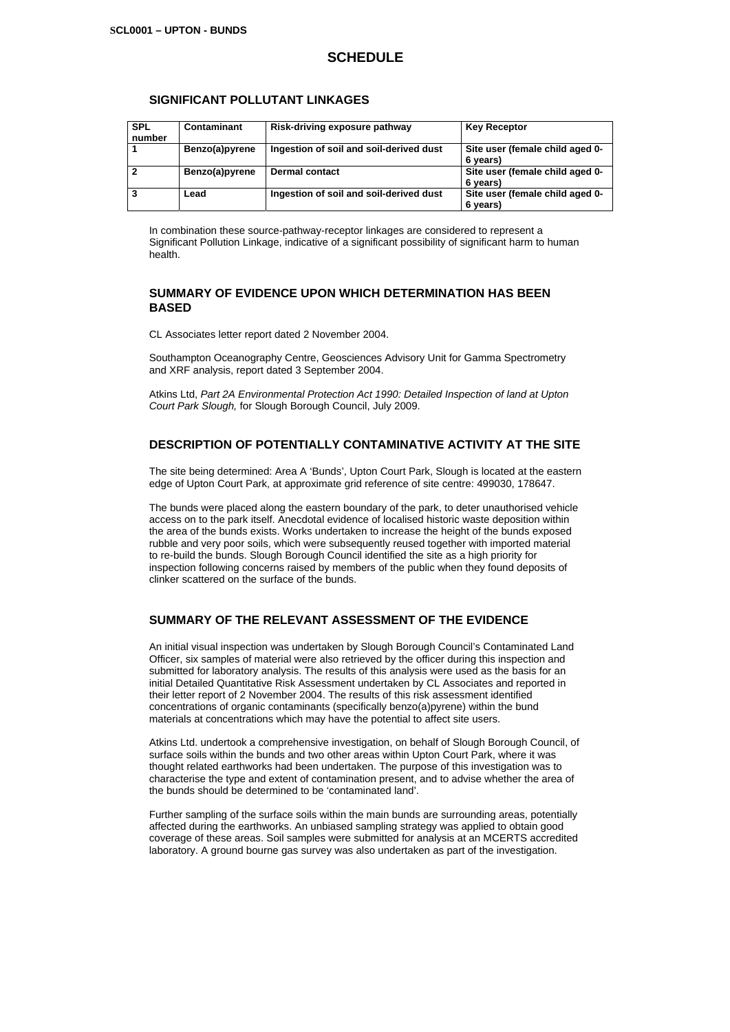### **SCHEDULE**

#### **SIGNIFICANT POLLUTANT LINKAGES**

| <b>SPL</b><br>number | Contaminant    | Risk-driving exposure pathway           | <b>Key Receptor</b>                         |
|----------------------|----------------|-----------------------------------------|---------------------------------------------|
|                      | Benzo(a)pyrene | Ingestion of soil and soil-derived dust | Site user (female child aged 0-<br>6 years) |
|                      | Benzo(a)pyrene | <b>Dermal contact</b>                   | Site user (female child aged 0-<br>6 years) |
|                      | Lead           | Ingestion of soil and soil-derived dust | Site user (female child aged 0-<br>6 years) |

In combination these source-pathway-receptor linkages are considered to represent a Significant Pollution Linkage, indicative of a significant possibility of significant harm to human health.

#### **SUMMARY OF EVIDENCE UPON WHICH DETERMINATION HAS BEEN BASED**

CL Associates letter report dated 2 November 2004.

Southampton Oceanography Centre, Geosciences Advisory Unit for Gamma Spectrometry and XRF analysis, report dated 3 September 2004.

Atkins Ltd, *Part 2A Environmental Protection Act 1990: Detailed Inspection of land at Upton Court Park Slough,* for Slough Borough Council, July 2009.

### **DESCRIPTION OF POTENTIALLY CONTAMINATIVE ACTIVITY AT THE SITE**

The site being determined: Area A 'Bunds', Upton Court Park, Slough is located at the eastern edge of Upton Court Park, at approximate grid reference of site centre: 499030, 178647.

The bunds were placed along the eastern boundary of the park, to deter unauthorised vehicle access on to the park itself. Anecdotal evidence of localised historic waste deposition within the area of the bunds exists. Works undertaken to increase the height of the bunds exposed rubble and very poor soils, which were subsequently reused together with imported material to re-build the bunds. Slough Borough Council identified the site as a high priority for inspection following concerns raised by members of the public when they found deposits of clinker scattered on the surface of the bunds.

#### **SUMMARY OF THE RELEVANT ASSESSMENT OF THE EVIDENCE**

An initial visual inspection was undertaken by Slough Borough Council's Contaminated Land Officer, six samples of material were also retrieved by the officer during this inspection and submitted for laboratory analysis. The results of this analysis were used as the basis for an initial Detailed Quantitative Risk Assessment undertaken by CL Associates and reported in their letter report of 2 November 2004. The results of this risk assessment identified concentrations of organic contaminants (specifically benzo(a)pyrene) within the bund materials at concentrations which may have the potential to affect site users.

Atkins Ltd. undertook a comprehensive investigation, on behalf of Slough Borough Council, of surface soils within the bunds and two other areas within Upton Court Park, where it was thought related earthworks had been undertaken. The purpose of this investigation was to characterise the type and extent of contamination present, and to advise whether the area of the bunds should be determined to be 'contaminated land'.

Further sampling of the surface soils within the main bunds are surrounding areas, potentially affected during the earthworks. An unbiased sampling strategy was applied to obtain good coverage of these areas. Soil samples were submitted for analysis at an MCERTS accredited laboratory. A ground bourne gas survey was also undertaken as part of the investigation.